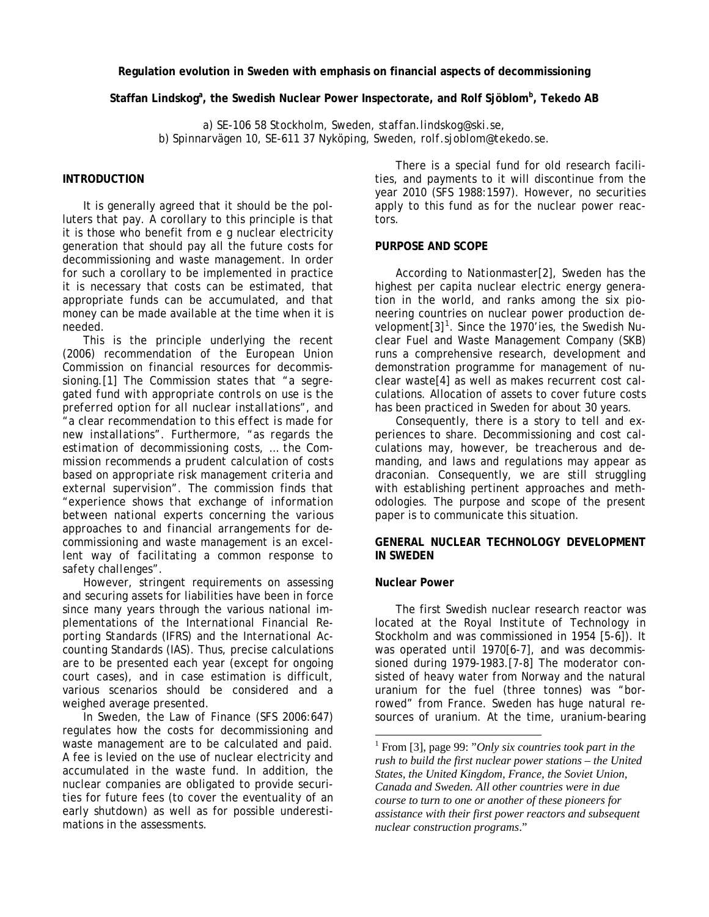**Regulation evolution in Sweden with emphasis on financial aspects of decommissioning** 

Staffan Lindskog<sup>a</sup>, the Swedish Nuclear Power Inspectorate, and Rolf Sjöblom<sup>b</sup>, Tekedo AB

*a) SE-106 58 Stockholm, Sweden, staffan.lindskog@ski.se, b) Spinnarvägen 10, SE-611 37 Nyköping, Sweden, rolf.sjoblom@tekedo.se.* 

# **INTRODUCTION**

It is generally agreed that it should be the polluters that pay. A corollary to this principle is that it is those who benefit from e g nuclear electricity generation that should pay all the future costs for decommissioning and waste management. In order for such a corollary to be implemented in practice it is necessary that costs can be estimated, that appropriate funds can be accumulated, and that money can be made available at the time when it is needed.

This is the principle underlying the recent (2006) recommendation of *the European Union Commission* on financial resources for decommissioning.[1] The Commission states that "*a segregated fund with appropriate controls on use is the preferred option for all nuclear installations*", and "*a clear recommendation to this effect is made for new installations*". Furthermore, "*as regards the estimation of decommissioning costs, … the Commission recommends a prudent calculation of costs based on appropriate risk management criteria and external supervision*". The commission finds that *"experience shows that exchange of information between national experts concerning the various approaches to and financial arrangements for decommissioning and waste management is an excellent way of facilitating a common response to safety challenges".* 

However, stringent requirements on assessing and securing assets for liabilities have been in force since many years through the various national implementations of *the International Financial Reporting Standards* (IFRS) and *the International Accounting Standards* (IAS). Thus, precise calculations are to be presented each year (except for ongoing court cases), and in case estimation is difficult, various scenarios should be considered and a weighed average presented.

<span id="page-0-0"></span>In Sweden, *the Law of Finance* (SFS 2006:647) regulates how the costs for decommissioning and waste management are to be calculated and paid. A fee is levied on the use of nuclear electricity and accumulated in the waste fund. In addition, the nuclear companies are obligated to provide securities for future fees (to cover the eventuality of an early shutdown) as well as for possible underestimations in the assessments.

There is a special fund for old research facilities, and payments to it will discontinue from the year 2010 (SFS 1988:1597). However, no securities apply to this fund as for the nuclear power reactors.

#### **PURPOSE AND SCOPE**

According to *Nationmaster*[2], Sweden has the highest per capita nuclear electric energy generation in the world, and ranks among the six pioneering countries on nuclear power production de-velopment[3]<sup>[1](#page-0-0)</sup>. Since the 1970'ies, the Swedish Nu*clear Fuel and Waste Management Company* (SKB) runs a comprehensive research, development and demonstration programme for management of nuclear waste[4] as well as makes recurrent cost calculations. Allocation of assets to cover future costs has been practiced in Sweden for about 30 years.

Consequently, there is a story to tell and experiences to share. Decommissioning and cost calculations may, however, be treacherous and demanding, and laws and regulations may appear as draconian. Consequently, we are still struggling with establishing pertinent approaches and methodologies. The purpose and scope of the present paper is to communicate this situation.

### **GENERAL NUCLEAR TECHNOLOGY DEVELOPMENT IN SWEDEN**

#### **Nuclear Power**

 $\overline{a}$ 

The first Swedish nuclear research reactor was located at *the Royal Institute of Technology* in Stockholm and was commissioned in 1954 [5-6]). It was operated until 1970[6-7], and was decommissioned during 1979-1983.[7-8] The moderator consisted of heavy water from Norway and the natural uranium for the fuel (three tonnes) was "borrowed" from France. Sweden has huge natural resources of uranium. At the time, uranium-bearing

<sup>1</sup> From [3], page 99: "*Only six countries took part in the rush to build the first nuclear power stations – the United States, the United Kingdom, France, the Soviet Union, Canada and Sweden. All other countries were in due course to turn to one or another of these pioneers for assistance with their first power reactors and subsequent nuclear construction programs*."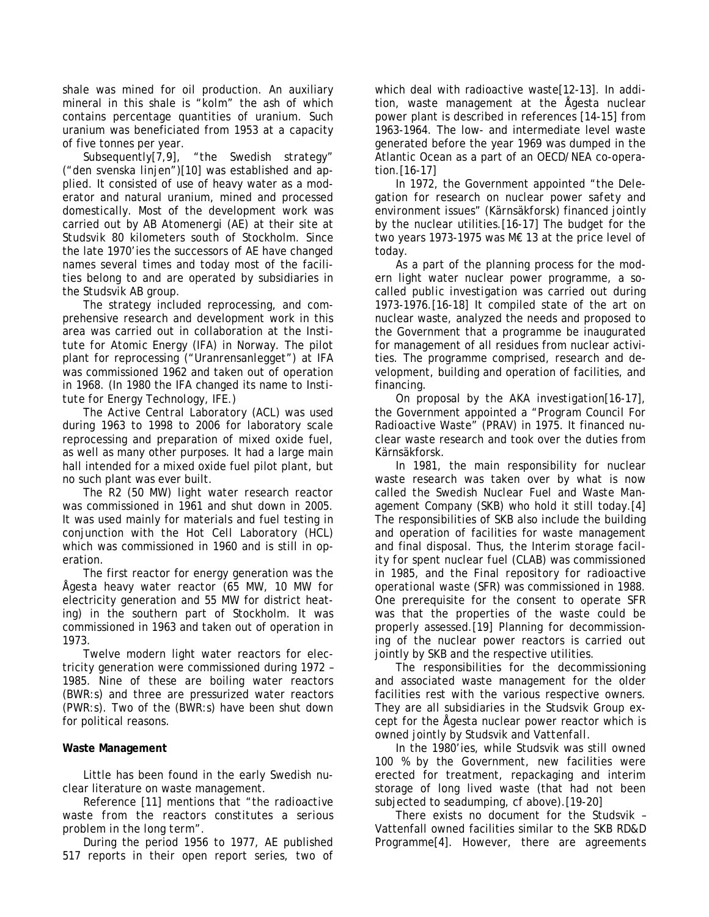shale was mined for oil production. An auxiliary mineral in this shale is "*kolm*" the ash of which contains percentage quantities of uranium. Such uranium was beneficiated from 1953 at a capacity of five tonnes per year.

Subsequently[7,9], "*the Swedish strategy*" ("*den svenska linjen*")[10] was established and applied. It consisted of use of heavy water as a moderator and natural uranium, mined and processed domestically. Most of the development work was carried out by *AB Atomenergi* (AE) at their site at *Studsvik* 80 kilometers south of Stockholm. Since the late 1970'ies the successors of AE have changed names several times and today most of the facilities belong to and are operated by subsidiaries in the *Studsvik AB* group.

The strategy included reprocessing, and comprehensive research and development work in this area was carried out in collaboration at *the Institute for Atomic Energy* (IFA) in Norway. The pilot plant for reprocessing ("*Uranrensanlegget*") at IFA was commissioned 1962 and taken out of operation in 1968. (In 1980 the IFA changed its name to *Institute for Energy Technology*, IFE.)

*The Active Central Laboratory* (ACL) was used during 1963 to 1998 to 2006 for laboratory scale reprocessing and preparation of mixed oxide fuel, as well as many other purposes. It had a large main hall intended for a mixed oxide fuel pilot plant, but no such plant was ever built.

The *R2* (50 MW) *light water research reactor* was commissioned in 1961 and shut down in 2005. It was used mainly for materials and fuel testing in conjunction with *the Hot Cell Laboratory* (HCL) which was commissioned in 1960 and is still in operation.

The first reactor for energy generation was *the Ågesta heavy water reactor* (65 MW, 10 MW for electricity generation and 55 MW for district heating) in the southern part of Stockholm. It was commissioned in 1963 and taken out of operation in 1973.

Twelve modern light water reactors for electricity generation were commissioned during 1972 – 1985. Nine of these are boiling water reactors (BWR:s) and three are pressurized water reactors (PWR:s). Two of the (BWR:s) have been shut down for political reasons.

## **Waste Management**

Little has been found in the early Swedish nuclear literature on waste management.

Reference [11] mentions that "*the radioactive waste from the reactors constitutes a serious problem in the long term*".

During the period 1956 to 1977, AE published 517 reports in their open report series, two of which deal with radioactive waste[12-13]. In addition, waste management at the Ågesta nuclear power plant is described in references [14-15] from 1963-1964. The low- and intermediate level waste generated before the year 1969 was dumped in the Atlantic Ocean as a part of an *OECD/NEA* co-operation.[16-17]

In 1972, the Government appointed "*the Delegation for research on nuclear power safety and environment issues*" (*Kärnsäkforsk*) financed jointly by the nuclear utilities.[16-17] The budget for the two years 1973-1975 was M€ 13 at the price level of today.

As a part of the planning process for the modern light water nuclear power programme, a socalled *public investigation* was carried out during 1973-1976.[16-18] It compiled state of the art on nuclear waste, analyzed the needs and proposed to the Government that a programme be inaugurated for management of all residues from nuclear activities. The programme comprised, research and development, building and operation of facilities, and financing.

On proposal by *the AKA investigation*[16-17], the Government appointed a "*Program Council For Radioactive Waste*" (PRAV) in 1975. It financed nuclear waste research and took over the duties from Kärnsäkforsk.

In 1981, the main responsibility for nuclear waste research was taken over by what is now called *the Swedish Nuclear Fuel and Waste Management Company* (SKB) who hold it still today.[4] The responsibilities of SKB also include the building and operation of facilities for waste management and final disposal. Thus, *the Interim storage facility for spent nuclear fuel* (CLAB) was commissioned in 1985, and *the Final repository for radioactive operational waste* (SFR) was commissioned in 1988. One prerequisite for the consent to operate SFR was that the properties of the waste could be properly assessed.[19] Planning for decommissioning of the nuclear power reactors is carried out jointly by SKB and the respective utilities.

The responsibilities for the decommissioning and associated waste management for the older facilities rest with the various respective owners. They are all subsidiaries in the Studsvik Group except for the Ågesta nuclear power reactor which is owned jointly by Studsvik and *Vattenfall*.

In the 1980'ies, while Studsvik was still owned 100 % by the Government, new facilities were erected for treatment, repackaging and interim storage of long lived waste (that had not been subjected to seadumping, cf above).[19-20]

There exists no document for the Studsvik – Vattenfall owned facilities similar to the SKB RD&D Programme[4]. However, there are agreements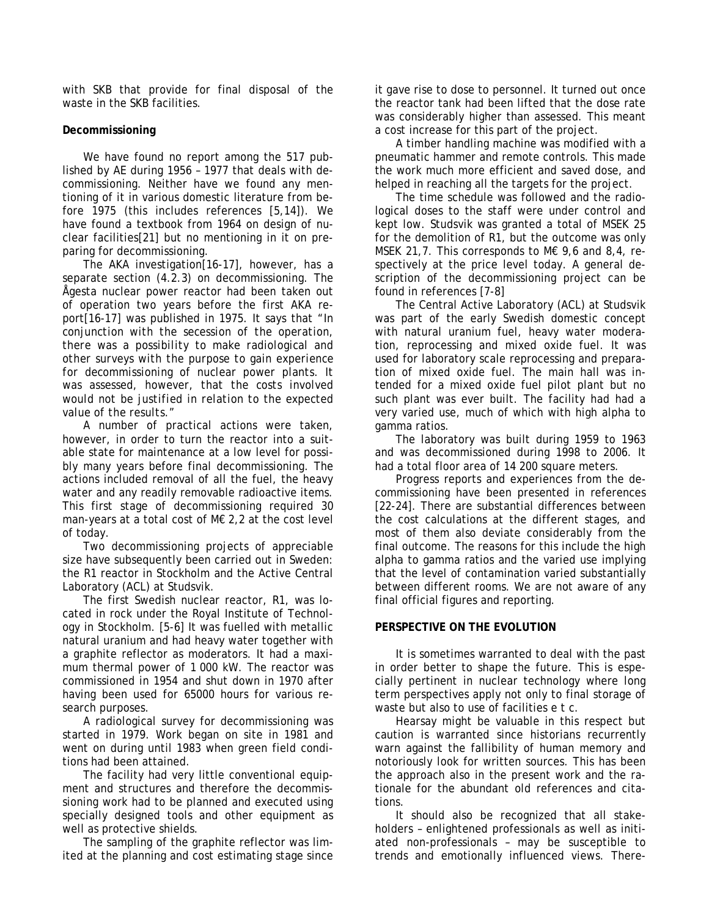with SKB that provide for final disposal of the waste in the SKB facilities.

## **Decommissioning**

We have found no report among the 517 published by AE during 1956 – 1977 that deals with decommissioning. Neither have we found any mentioning of it in various domestic literature from before 1975 (this includes references [5,14]). We have found a textbook from 1964 on design of nuclear facilities[21] but no mentioning in it on preparing for decommissioning.

The AKA investigation[16-17], however, has a separate section (4.2.3) on decommissioning. The Ågesta nuclear power reactor had been taken out of operation two years before the first AKA report[16-17] was published in 1975. It says that *"In conjunction with the secession of the operation, there was a possibility to make radiological and other surveys with the purpose to gain experience for decommissioning of nuclear power plants. It was assessed, however, that the costs involved would not be justified in relation to the expected value of the results."*

A number of practical actions were taken, however, in order to turn the reactor into a suitable state for maintenance at a low level for possibly many years before final decommissioning. The actions included removal of all the fuel, the heavy water and any readily removable radioactive items. This first stage of decommissioning required 30 man-years at a total cost of M€ 2,2 at the cost level of today.

Two decommissioning projects of appreciable size have subsequently been carried out in Sweden: the R1 reactor in Stockholm and the Active Central Laboratory (ACL) at Studsvik.

The first Swedish nuclear reactor, R1, was located in rock under the Royal Institute of Technology in Stockholm. [5-6] It was fuelled with metallic natural uranium and had heavy water together with a graphite reflector as moderators. It had a maximum thermal power of 1 000 kW. The reactor was commissioned in 1954 and shut down in 1970 after having been used for 65000 hours for various research purposes.

A radiological survey for decommissioning was started in 1979. Work began on site in 1981 and went on during until 1983 when green field conditions had been attained.

The facility had very little conventional equipment and structures and therefore the decommissioning work had to be planned and executed using specially designed tools and other equipment as well as protective shields.

The sampling of the graphite reflector was limited at the planning and cost estimating stage since it gave rise to dose to personnel. It turned out once the reactor tank had been lifted that the dose rate was considerably higher than assessed. This meant a cost increase for this part of the project.

A timber handling machine was modified with a pneumatic hammer and remote controls. This made the work much more efficient and saved dose, and helped in reaching all the targets for the project.

The time schedule was followed and the radiological doses to the staff were under control and kept low. Studsvik was granted a total of MSEK 25 for the demolition of R1, but the outcome was only MSEK 21,7. This corresponds to M€ 9,6 and 8,4, respectively at the price level today. A general description of the decommissioning project can be found in references [7-8]

The Central Active Laboratory (ACL) at Studsvik was part of the early Swedish domestic concept with natural uranium fuel, heavy water moderation, reprocessing and mixed oxide fuel. It was used for laboratory scale reprocessing and preparation of mixed oxide fuel. The main hall was intended for a mixed oxide fuel pilot plant but no such plant was ever built. The facility had had a very varied use, much of which with high alpha to gamma ratios.

The laboratory was built during 1959 to 1963 and was decommissioned during 1998 to 2006. It had a total floor area of 14 200 square meters.

Progress reports and experiences from the decommissioning have been presented in references [22-24]. There are substantial differences between the cost calculations at the different stages, and most of them also deviate considerably from the final outcome. The reasons for this include the high alpha to gamma ratios and the varied use implying that the level of contamination varied substantially between different rooms. We are not aware of any final official figures and reporting.

## **PERSPECTIVE ON THE EVOLUTION**

It is sometimes warranted to deal with the past in order better to shape the future. This is especially pertinent in nuclear technology where long term perspectives apply not only to final storage of waste but also to use of facilities e t c.

Hearsay might be valuable in this respect but caution is warranted since historians recurrently warn against the fallibility of human memory and notoriously look for written sources. This has been the approach also in the present work and the rationale for the abundant old references and citations.

It should also be recognized that all stakeholders – enlightened professionals as well as initiated non-professionals – may be susceptible to trends and emotionally influenced views. There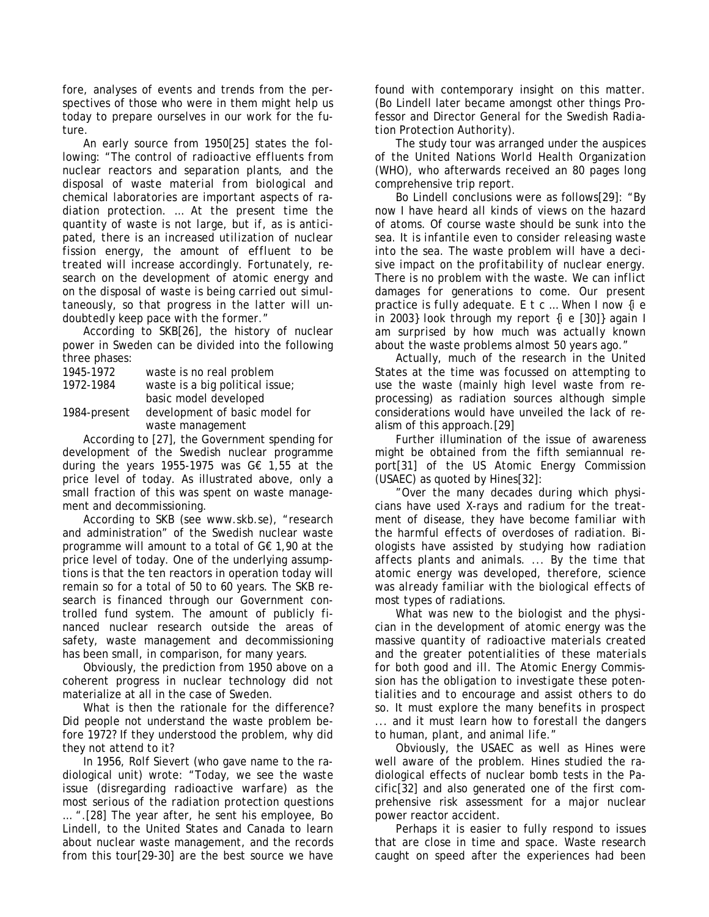fore, analyses of events and trends from the perspectives of those who were in them might help us today to prepare ourselves in our work for the future.

An early source from 1950[25] states the following: "*The control of radioactive effluents from nuclear reactors and separation plants, and the disposal of waste material from biological and chemical laboratories are important aspects of radiation protection. … At the present time the quantity of waste is not large, but if, as is anticipated, there is an increased utilization of nuclear fission energy, the amount of effluent to be treated will increase accordingly. Fortunately, research on the development of atomic energy and on the disposal of waste is being carried out simultaneously, so that progress in the latter will undoubtedly keep pace with the former.*"

According to SKB[26], the history of nuclear power in Sweden can be divided into the following three phases:

| 1945-1972    | waste is no real problem        |
|--------------|---------------------------------|
| 1972-1984    | waste is a big political issue; |
|              | basic model developed           |
| 1984-present | development of basic model for  |
|              | waste management                |

According to [27], the Government spending for development of the Swedish nuclear programme during the years 1955-1975 was G€ 1,55 at the price level of today. As illustrated above, only a small fraction of this was spent on waste management and decommissioning.

According to SKB (see www.skb.se), "research and administration" of the Swedish nuclear waste programme will amount to a total of G€ 1,90 at the price level of today. One of the underlying assumptions is that the ten reactors in operation today will remain so for a total of 50 to 60 years. The SKB research is financed through our Government controlled fund system. The amount of publicly financed nuclear research outside the areas of safety, waste management and decommissioning has been small, in comparison, for many years.

Obviously, the prediction from 1950 above on a coherent progress in nuclear technology did not materialize at all in the case of Sweden.

What is then the rationale for the difference? Did people not understand the waste problem before 1972? If they understood the problem, why did they not attend to it?

In 1956, Rolf Sievert (who gave name to the radiological unit) wrote: "*Today, we see the waste issue (disregarding radioactive warfare) as the most serious of the radiation protection questions …* ".[28] The year after, he sent his employee, Bo Lindell, to the United States and Canada to learn about nuclear waste management, and the records from this tour[29-30] are the best source we have

found with contemporary insight on this matter. (Bo Lindell later became amongst other things Professor and Director General for *the Swedish Radiation Protection Authority*).

The study tour was arranged under the auspices of *the United Nations World Health Organization*  (WHO), who afterwards received an 80 pages long comprehensive trip report.

Bo Lindell conclusions were as follows[29]: "*By now I have heard all kinds of views on the hazard of atoms. Of course waste should be sunk into the sea. It is infantile even to consider releasing waste into the sea. The waste problem will have a decisive impact on the profitability of nuclear energy. There is no problem with the waste. We can inflict damages for generations to come. Our present practice is fully adequate. E t c … When I now {i e in 2003} look through my report {i e [30]} again I am surprised by how much was actually known about the waste problems almost 50 years ago.*"

Actually, much of the research in the United States at the time was focussed on attempting to use the waste (mainly high level waste from reprocessing) as radiation sources although simple considerations would have unveiled the lack of realism of this approach.[29]

Further illumination of the issue of awareness might be obtained from the fifth semiannual report[31] of *the US Atomic Energy Commission* (USAEC) as quoted by Hines[32]:

"*Over the many decades during which physicians have used X-rays and radium for the treatment of disease, they have become familiar with the harmful effects of overdoses of radiation. Biologists have assisted by studying how radiation affects plants and animals. ... By the time that atomic energy was developed, therefore, science was already familiar with the biological effects of most types of radiations.* 

*What was new to the biologist and the physician in the development of atomic energy was the massive quantity of radioactive materials created and the greater potentialities of these materials for both good and ill. The Atomic Energy Commission has the obligation to investigate these potentialities and to encourage and assist others to do so. It must explore the many benefits in prospect ... and it must learn how to forestall the dangers to human, plant, and animal life."* 

Obviously, the USAEC as well as Hines were well aware of the problem. Hines studied the radiological effects of nuclear bomb tests in the Pacific[32] and also generated one of the first comprehensive risk assessment for a major nuclear power reactor accident.

Perhaps it is easier to fully respond to issues that are close in time and space. Waste research caught on speed after the experiences had been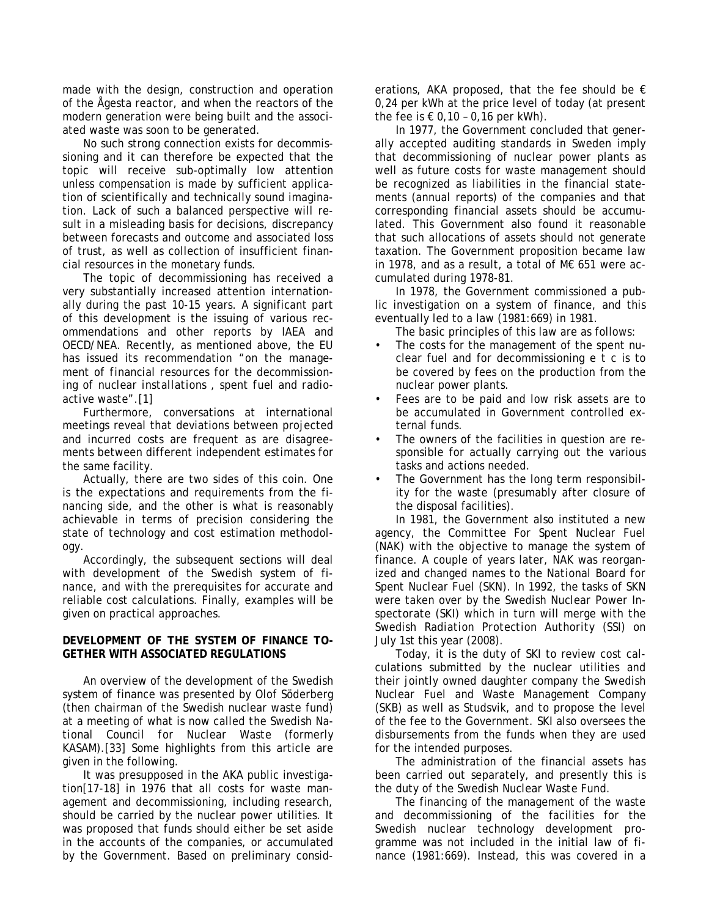made with the design, construction and operation of the Ågesta reactor, and when the reactors of the modern generation were being built and the associated waste was soon to be generated.

No such strong connection exists for decommissioning and it can therefore be expected that the topic will receive sub-optimally low attention unless compensation is made by sufficient application of scientifically and technically sound imagination. Lack of such a balanced perspective will result in a misleading basis for decisions, discrepancy between forecasts and outcome and associated loss of trust, as well as collection of insufficient financial resources in the monetary funds.

The topic of decommissioning has received a very substantially increased attention internationally during the past 10-15 years. A significant part of this development is the issuing of various recommendations and other reports by IAEA and OECD/NEA. Recently, as mentioned above, the EU has issued its recommendation "*on the management of financial resources for the decommissioning of nuclear installations , spent fuel and radioactive waste*".[1]

Furthermore, conversations at international meetings reveal that deviations between projected and incurred costs are frequent as are disagreements between different independent estimates for the same facility.

Actually, there are two sides of this coin. One is the expectations and requirements from the financing side, and the other is what is reasonably achievable in terms of precision considering the state of technology and cost estimation methodology.

Accordingly, the subsequent sections will deal with development of the Swedish system of finance, and with the prerequisites for accurate and reliable cost calculations. Finally, examples will be given on practical approaches.

### **DEVELOPMENT OF THE SYSTEM OF FINANCE TO-GETHER WITH ASSOCIATED REGULATIONS**

An overview of the development of the Swedish system of finance was presented by Olof Söderberg (then chairman of the Swedish nuclear waste fund) at a meeting of what is now called *the Swedish National Council for Nuclear Waste* (formerly KASAM).[33] Some highlights from this article are given in the following.

It was presupposed in the AKA public investigation[17-18] in 1976 that all costs for waste management and decommissioning, including research, should be carried by the nuclear power utilities. It was proposed that funds should either be set aside in the accounts of the companies, or accumulated by the Government. Based on preliminary considerations, AKA proposed, that the fee should be  $\epsilon$ 0,24 per kWh at the price level of today (at present the fee is  $\epsilon$  0.10 - 0.16 per kWh).

In 1977, the Government concluded that generally accepted auditing standards in Sweden imply that decommissioning of nuclear power plants as well as future costs for waste management should be recognized as liabilities in the financial statements (annual reports) of the companies and that corresponding financial assets should be accumulated. This Government also found it reasonable that such allocations of assets should not generate taxation. The Government proposition became law in 1978, and as a result, a total of M€ 651 were accumulated during 1978-81.

In 1978, the Government commissioned a public investigation on a system of finance, and this eventually led to a law (1981:669) in 1981.

The basic principles of this law are as follows:

- The costs for the management of the spent nuclear fuel and for decommissioning e t c is to be covered by fees on the production from the nuclear power plants.
- Fees are to be paid and low risk assets are to be accumulated in Government controlled external funds.
- The owners of the facilities in question are responsible for actually carrying out the various tasks and actions needed.
- The Government has the long term responsibility for the waste (presumably after closure of the disposal facilities).

In 1981, the Government also instituted a new agency, *the Committee For Spent Nuclear Fuel* (NAK) with the objective to manage the system of finance. A couple of years later, NAK was reorganized and changed names to *the National Board for Spent Nuclear Fuel* (SKN). In 1992, the tasks of SKN were taken over by *the Swedish Nuclear Power Inspectorate* (SKI) which in turn will merge with *the Swedish Radiation Protection Authority* (SSI) on July 1st this year (2008).

Today, it is the duty of SKI to review cost calculations submitted by the nuclear utilities and their jointly owned daughter company *the Swedish Nuclear Fuel and Waste Management Company*  (SKB) as well as Studsvik, and to propose the level of the fee to the Government. SKI also oversees the disbursements from the funds when they are used for the intended purposes.

The administration of the financial assets has been carried out separately, and presently this is the duty of *the Swedish Nuclear Waste Fund*.

The financing of the management of the waste and decommissioning of the facilities for the Swedish nuclear technology development programme was not included in the initial law of finance (1981:669). Instead, this was covered in a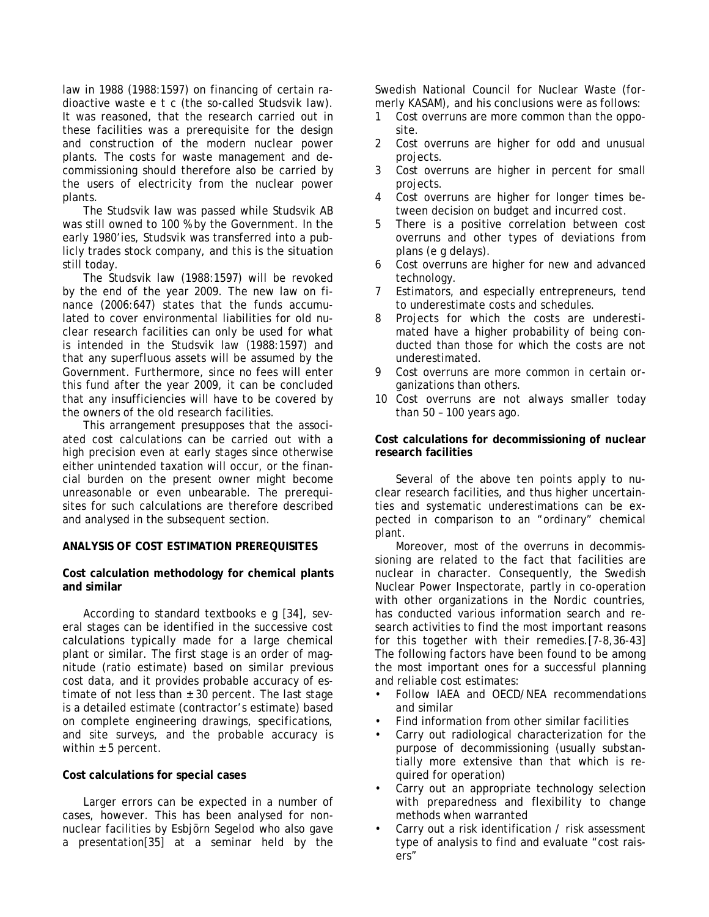law in 1988 (1988:1597) on financing of certain radioactive waste e t c (the so-called *Studsvik law*). It was reasoned, that the research carried out in these facilities was a prerequisite for the design and construction of the modern nuclear power plants. The costs for waste management and decommissioning should therefore also be carried by the users of electricity from the nuclear power plants.

The Studsvik law was passed while Studsvik AB was still owned to 100 % by the Government. In the early 1980'ies, Studsvik was transferred into a publicly trades stock company, and this is the situation still today.

The Studsvik law (1988:1597) will be revoked by the end of the year 2009. The new law on finance (2006:647) states that the funds accumulated to cover environmental liabilities for old nuclear research facilities can only be used for what is intended in the Studsvik law (1988:1597) and that any superfluous assets will be assumed by the Government. Furthermore, since no fees will enter this fund after the year 2009, it can be concluded that any insufficiencies will have to be covered by the owners of the old research facilities.

This arrangement presupposes that the associated cost calculations can be carried out with a high precision even at early stages since otherwise either unintended taxation will occur, or the financial burden on the present owner might become unreasonable or even unbearable. The prerequisites for such calculations are therefore described and analysed in the subsequent section.

#### **ANALYSIS OF COST ESTIMATION PREREQUISITES**

### **Cost calculation methodology for chemical plants and similar**

According to standard textbooks e g [34], several stages can be identified in the successive cost calculations typically made for a large chemical plant or similar. The first stage is an order of magnitude (ratio estimate) based on similar previous cost data, and it provides probable accuracy of estimate of not less than  $\pm$  30 percent. The last stage is a detailed estimate (contractor's estimate) based on complete engineering drawings, specifications, and site surveys, and the probable accuracy is within  $\pm$  5 percent.

#### **Cost calculations for special cases**

Larger errors can be expected in a number of cases, however. This has been analysed for nonnuclear facilities by Esbjörn Segelod who also gave a presentation[35] at a seminar held by the Swedish National Council for Nuclear Waste (formerly KASAM), and his conclusions were as follows:

- 1 Cost overruns are more common than the opposite.
- 2 Cost overruns are higher for odd and unusual projects.
- 3 Cost overruns are higher in percent for small projects.
- 4 Cost overruns are higher for longer times between decision on budget and incurred cost.
- 5 There is a positive correlation between cost overruns and other types of deviations from plans (e g delays).
- 6 Cost overruns are higher for new and advanced technology.
- 7 Estimators, and especially entrepreneurs, tend to underestimate costs and schedules.
- 8 Projects for which the costs are underestimated have a higher probability of being conducted than those for which the costs are not underestimated.
- 9 Cost overruns are more common in certain organizations than others.
- 10 Cost overruns are not always smaller today than 50 – 100 years ago.

### **Cost calculations for decommissioning of nuclear research facilities**

Several of the above ten points apply to nuclear research facilities, and thus higher uncertainties and systematic underestimations can be expected in comparison to an "ordinary" chemical plant.

Moreover, most of the overruns in decommissioning are related to the fact that facilities are nuclear in character. Consequently, the Swedish Nuclear Power Inspectorate, partly in co-operation with other organizations in the Nordic countries, has conducted various information search and research activities to find the most important reasons for this together with their remedies.[7-8,36-43] The following factors have been found to be among the most important ones for a successful planning and reliable cost estimates:

- Follow IAEA and OECD/NEA recommendations and similar
- Find information from other similar facilities
- Carry out radiological characterization for the purpose of decommissioning (usually substantially more extensive than that which is required for operation)
- Carry out an appropriate technology selection with preparedness and flexibility to change methods when warranted
- Carry out a risk identification / risk assessment type of analysis to find and evaluate "cost raisers"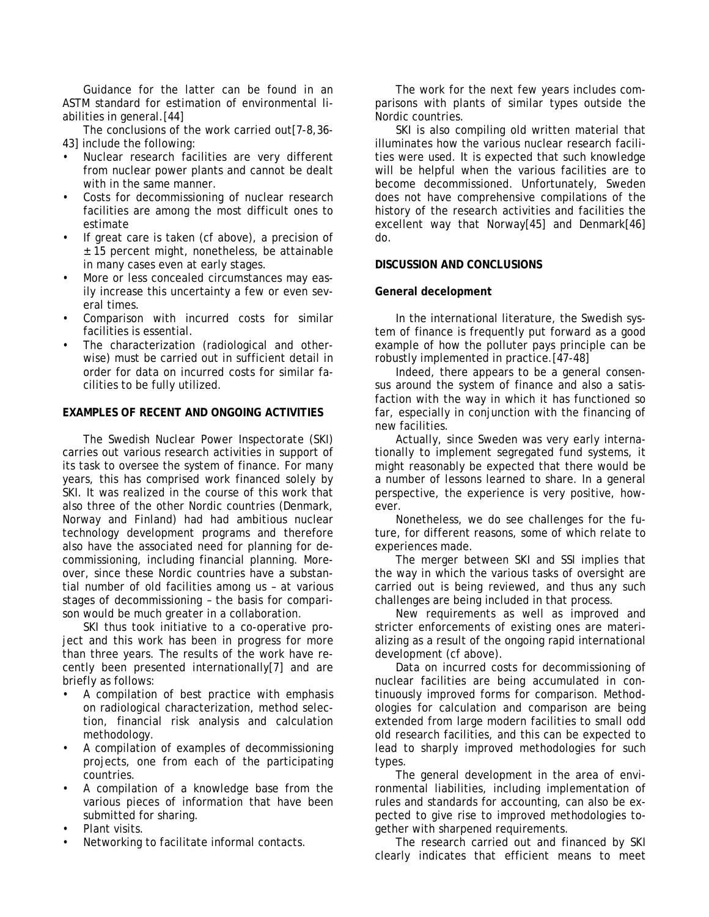Guidance for the latter can be found in an ASTM standard for estimation of environmental liabilities in general.[44]

The conclusions of the work carried out[7-8,36- 43] include the following:

- Nuclear research facilities are very different from nuclear power plants and cannot be dealt with in the same manner.
- Costs for decommissioning of nuclear research facilities are among the most difficult ones to estimate
- If great care is taken (cf above), a precision of ± 15 percent might, nonetheless, be attainable in many cases even at early stages.
- More or less concealed circumstances may easily increase this uncertainty a few or even several times.
- Comparison with incurred costs for similar facilities is essential.
- The characterization (radiological and otherwise) must be carried out in sufficient detail in order for data on incurred costs for similar facilities to be fully utilized.

## **EXAMPLES OF RECENT AND ONGOING ACTIVITIES**

*The Swedish Nuclear Power Inspectorate* (SKI) carries out various research activities in support of its task to oversee the system of finance. For many years, this has comprised work financed solely by SKI. It was realized in the course of this work that also three of the other Nordic countries (Denmark, Norway and Finland) had had ambitious nuclear technology development programs and therefore also have the associated need for planning for decommissioning, including financial planning. Moreover, since these Nordic countries have a substantial number of old facilities among us – at various stages of decommissioning – the basis for comparison would be much greater in a collaboration.

SKI thus took initiative to a co-operative project and this work has been in progress for more than three years. The results of the work have recently been presented internationally[7] and are briefly as follows:

- A compilation of best practice with emphasis on radiological characterization, method selection, financial risk analysis and calculation methodology.
- A compilation of examples of decommissioning projects, one from each of the participating countries.
- A compilation of a knowledge base from the various pieces of information that have been submitted for sharing.
- Plant visits.
- Networking to facilitate informal contacts.

The work for the next few years includes comparisons with plants of similar types outside the Nordic countries.

SKI is also compiling old written material that illuminates how the various nuclear research facilities were used. It is expected that such knowledge will be helpful when the various facilities are to become decommissioned. Unfortunately, Sweden does not have comprehensive compilations of the history of the research activities and facilities the excellent way that Norway[45] and Denmark[46] do.

### **DISCUSSION AND CONCLUSIONS**

#### **General decelopment**

In the international literature, the Swedish system of finance is frequently put forward as a good example of how the polluter pays principle can be robustly implemented in practice.[47-48]

Indeed, there appears to be a general consensus around the system of finance and also a satisfaction with the way in which it has functioned so far, especially in conjunction with the financing of new facilities.

Actually, since Sweden was very early internationally to implement segregated fund systems, it might reasonably be expected that there would be a number of lessons learned to share. In a general perspective, the experience is very positive, however.

Nonetheless, we do see challenges for the future, for different reasons, some of which relate to experiences made.

The merger between SKI and SSI implies that the way in which the various tasks of oversight are carried out is being reviewed, and thus any such challenges are being included in that process.

New requirements as well as improved and stricter enforcements of existing ones are materializing as a result of the ongoing rapid international development (cf above).

Data on incurred costs for decommissioning of nuclear facilities are being accumulated in continuously improved forms for comparison. Methodologies for calculation and comparison are being extended from large modern facilities to small odd old research facilities, and this can be expected to lead to sharply improved methodologies for such types.

The general development in the area of environmental liabilities, including implementation of rules and standards for accounting, can also be expected to give rise to improved methodologies together with sharpened requirements.

The research carried out and financed by SKI clearly indicates that efficient means to meet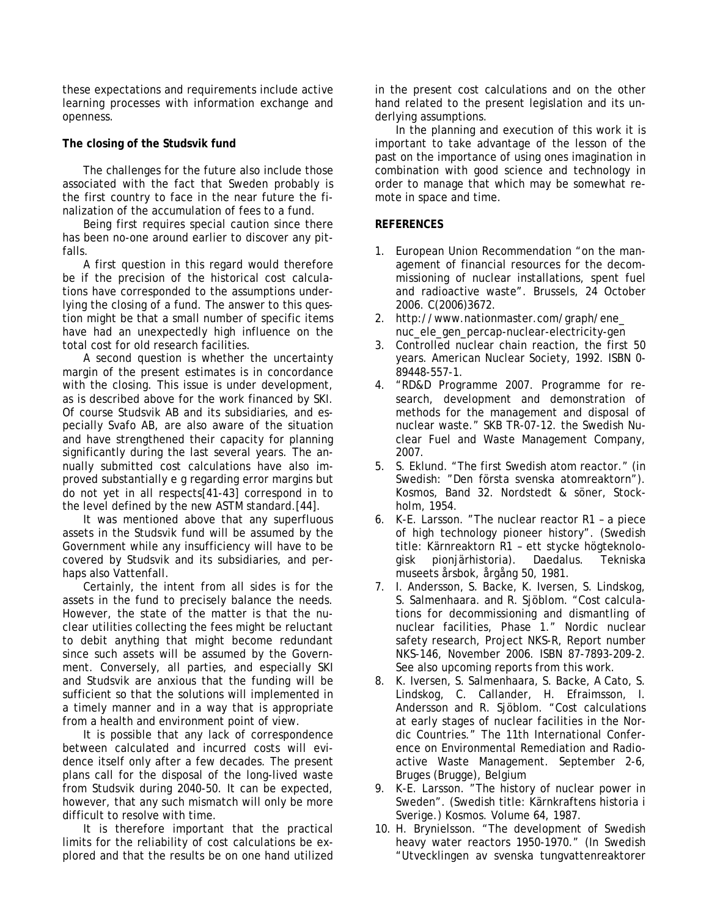these expectations and requirements include active learning processes with information exchange and openness.

# **The closing of the Studsvik fund**

The challenges for the future also include those associated with the fact that Sweden probably is the first country to face in the near future the finalization of the accumulation of fees to a fund.

Being first requires special caution since there has been no-one around earlier to discover any pitfalls.

A first question in this regard would therefore be if the precision of the historical cost calculations have corresponded to the assumptions underlying the closing of a fund. The answer to this question might be that a small number of specific items have had an unexpectedly high influence on the total cost for old research facilities.

A second question is whether the uncertainty margin of the present estimates is in concordance with the closing. This issue is under development, as is described above for the work financed by SKI. Of course Studsvik AB and its subsidiaries, and especially Svafo AB, are also aware of the situation and have strengthened their capacity for planning significantly during the last several years. The annually submitted cost calculations have also improved substantially e g regarding error margins but do not yet in all respects[41-43] correspond in to the level defined by the new ASTM standard.[44].

It was mentioned above that any superfluous assets in the Studsvik fund will be assumed by the Government while any insufficiency will have to be covered by Studsvik and its subsidiaries, and perhaps also Vattenfall.

Certainly, the intent from all sides is for the assets in the fund to precisely balance the needs. However, the state of the matter is that the nuclear utilities collecting the fees might be reluctant to debit anything that might become redundant since such assets will be assumed by the Government. Conversely, all parties, and especially SKI and Studsvik are anxious that the funding will be sufficient so that the solutions will implemented in a timely manner and in a way that is appropriate from a health and environment point of view.

It is possible that any lack of correspondence between calculated and incurred costs will evidence itself only after a few decades. The present plans call for the disposal of the long-lived waste from Studsvik during 2040-50. It can be expected, however, that any such mismatch will only be more difficult to resolve with time.

It is therefore important that the practical limits for the reliability of cost calculations be explored and that the results be on one hand utilized in the present cost calculations and on the other hand related to the present legislation and its underlying assumptions.

In the planning and execution of this work it is important to take advantage of the lesson of the past on the importance of using ones imagination in combination with good science and technology in order to manage that which may be somewhat remote in space and time.

# **REFERENCES**

- 1. European Union Recommendation "on the management of financial resources for the decommissioning of nuclear installations, spent fuel and radioactive waste". Brussels, 24 October 2006. C(2006)3672.
- 2. http://www.nationmaster.com/graph/ene\_ nuc\_ele\_gen\_percap-nuclear-electricity-gen
- 3. Controlled nuclear chain reaction, the first 50 years. American Nuclear Society, 1992. ISBN 0- 89448-557-1.
- 4. "RD&D Programme 2007. Programme for research, development and demonstration of methods for the management and disposal of nuclear waste." SKB TR-07-12. the Swedish Nuclear Fuel and Waste Management Company, 2007.
- 5. S. Eklund. "The first Swedish atom reactor." (in Swedish: "Den första svenska atomreaktorn"). Kosmos, Band 32. Nordstedt & söner, Stockholm, 1954.
- 6. K-E. Larsson. "The nuclear reactor R1 a piece of high technology pioneer history". (Swedish title: Kärnreaktorn R1 – ett stycke högteknologisk pionjärhistoria). Daedalus. Tekniska museets årsbok, årgång 50, 1981.
- 7. I. Andersson, S. Backe, K. Iversen, S. Lindskog, S. Salmenhaara. and R. Sjöblom. "Cost calculations for decommissioning and dismantling of nuclear facilities, Phase 1." Nordic nuclear safety research, Project NKS-R, Report number NKS-146, November 2006. ISBN 87-7893-209-2. See also upcoming reports from this work.
- 8. K. Iversen, S. Salmenhaara, S. Backe, A Cato, S. Lindskog, C. Callander, H. Efraimsson, I. Andersson and R. Sjöblom. "Cost calculations at early stages of nuclear facilities in the Nordic Countries." The 11th International Conference on Environmental Remediation and Radioactive Waste Management. September 2-6, Bruges (Brugge), Belgium
- 9. K-E. Larsson. "The history of nuclear power in Sweden". (Swedish title: Kärnkraftens historia i Sverige.) Kosmos. Volume 64, 1987.
- 10. H. Brynielsson. "The development of Swedish heavy water reactors 1950-1970." (In Swedish "Utvecklingen av svenska tungvattenreaktorer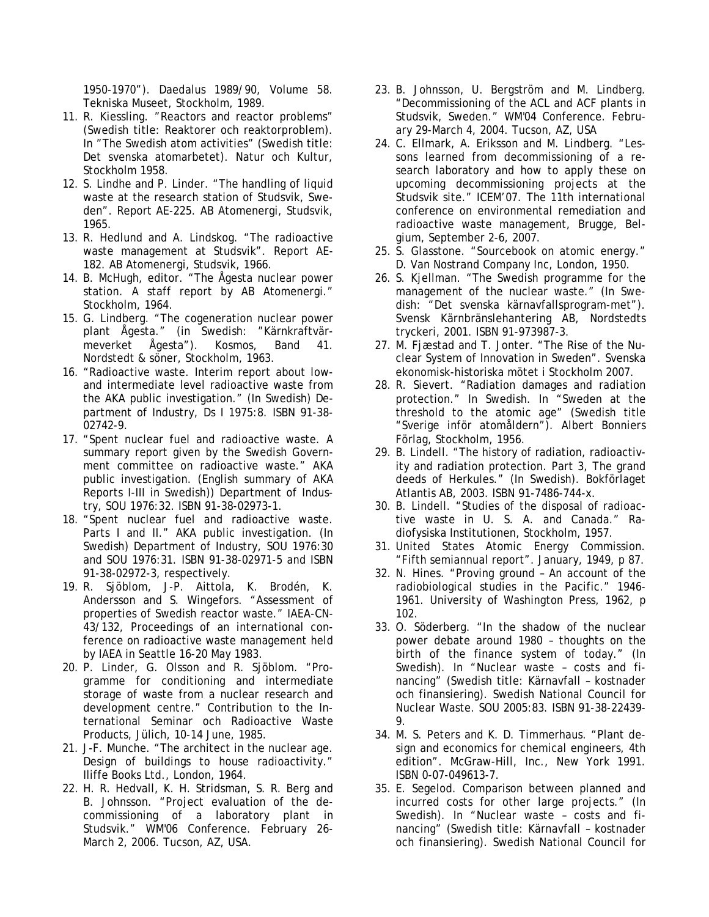1950-1970"). Daedalus 1989/90, Volume 58. Tekniska Museet, Stockholm, 1989.

- 11. R. Kiessling. "Reactors and reactor problems" (Swedish title: Reaktorer och reaktorproblem). In "The Swedish atom activities" (Swedish title: Det svenska atomarbetet). Natur och Kultur, Stockholm 1958.
- 12. S. Lindhe and P. Linder. "The handling of liquid waste at the research station of Studsvik, Sweden". Report AE-225. AB Atomenergi, Studsvik, 1965.
- 13. R. Hedlund and A. Lindskog. "The radioactive waste management at Studsvik". Report AE-182. AB Atomenergi, Studsvik, 1966.
- 14. B. McHugh, editor. "The Ågesta nuclear power station. A staff report by AB Atomenergi." Stockholm, 1964.
- 15. G. Lindberg. "The cogeneration nuclear power plant Ågesta." (in Swedish: "Kärnkraftvärmeverket Ågesta"). Kosmos, Band 41. Nordstedt & söner, Stockholm, 1963.
- 16. "Radioactive waste. Interim report about lowand intermediate level radioactive waste from the AKA public investigation." (In Swedish) Department of Industry, Ds I 1975:8. ISBN 91-38- 02742-9.
- 17. "Spent nuclear fuel and radioactive waste. A summary report given by the Swedish Government committee on radioactive waste." AKA public investigation. (English summary of AKA Reports I-III in Swedish)) Department of Industry, SOU 1976:32. ISBN 91-38-02973-1.
- 18. "Spent nuclear fuel and radioactive waste. Parts I and II." AKA public investigation. (In Swedish) Department of Industry, SOU 1976:30 and SOU 1976:31. ISBN 91-38-02971-5 and ISBN 91-38-02972-3, respectively.
- 19. R. Sjöblom, J-P. Aittola, K. Brodén, K. Andersson and S. Wingefors. "Assessment of properties of Swedish reactor waste." IAEA-CN-43/132, Proceedings of an international conference on radioactive waste management held by IAEA in Seattle 16-20 May 1983.
- 20. P. Linder, G. Olsson and R. Sjöblom. "Programme for conditioning and intermediate storage of waste from a nuclear research and development centre." Contribution to the International Seminar och Radioactive Waste Products, Jülich, 10-14 June, 1985.
- 21. J-F. Munche. "The architect in the nuclear age. Design of buildings to house radioactivity." Iliffe Books Ltd., London, 1964.
- 22. H. R. Hedvall, K. H. Stridsman, S. R. Berg and B. Johnsson. "Project evaluation of the decommissioning of a laboratory plant in Studsvik." WM'06 Conference. February 26- March 2, 2006. Tucson, AZ, USA.
- 23. B. Johnsson, U. Bergström and M. Lindberg. "Decommissioning of the ACL and ACF plants in Studsvik, Sweden." WM'04 Conference. February 29-March 4, 2004. Tucson, AZ, USA
- 24. C. Ellmark, A. Eriksson and M. Lindberg. "Lessons learned from decommissioning of a research laboratory and how to apply these on upcoming decommissioning projects at the Studsvik site." ICEM'07. The 11th international conference on environmental remediation and radioactive waste management, Brugge, Belgium, September 2-6, 2007.
- 25. S. Glasstone. "Sourcebook on atomic energy." D. Van Nostrand Company Inc, London, 1950.
- 26. S. Kjellman. "The Swedish programme for the management of the nuclear waste." (In Swedish: "Det svenska kärnavfallsprogram-met"). Svensk Kärnbränslehantering AB, Nordstedts tryckeri, 2001. ISBN 91-973987-3.
- 27. M. Fjæstad and T. Jonter. "The Rise of the Nuclear System of Innovation in Sweden". Svenska ekonomisk-historiska mötet i Stockholm 2007.
- 28. R. Sievert. "Radiation damages and radiation protection." In Swedish. In "Sweden at the threshold to the atomic age" (Swedish title "Sverige inför atomåldern"). Albert Bonniers Förlag, Stockholm, 1956.
- 29. B. Lindell. "The history of radiation, radioactivity and radiation protection. Part 3, The grand deeds of Herkules." (In Swedish). Bokförlaget Atlantis AB, 2003. ISBN 91-7486-744-x.
- 30. B. Lindell. "Studies of the disposal of radioactive waste in U. S. A. and Canada." Radiofysiska Institutionen, Stockholm, 1957.
- 31. United States Atomic Energy Commission. "Fifth semiannual report". January, 1949, p 87.
- 32. N. Hines. "Proving ground An account of the radiobiological studies in the Pacific." 1946- 1961. University of Washington Press, 1962, p 102.
- 33. O. Söderberg. "In the shadow of the nuclear power debate around 1980 – thoughts on the birth of the finance system of today." (In Swedish). In "Nuclear waste – costs and financing" (Swedish title: Kärnavfall – kostnader och finansiering). Swedish National Council for Nuclear Waste. SOU 2005:83. ISBN 91-38-22439- 9.
- 34. M. S. Peters and K. D. Timmerhaus. "Plant design and economics for chemical engineers, 4th edition". McGraw-Hill, Inc., New York 1991. ISBN 0-07-049613-7.
- 35. E. Segelod. Comparison between planned and incurred costs for other large projects." (In Swedish). In "Nuclear waste – costs and financing" (Swedish title: Kärnavfall – kostnader och finansiering). Swedish National Council for